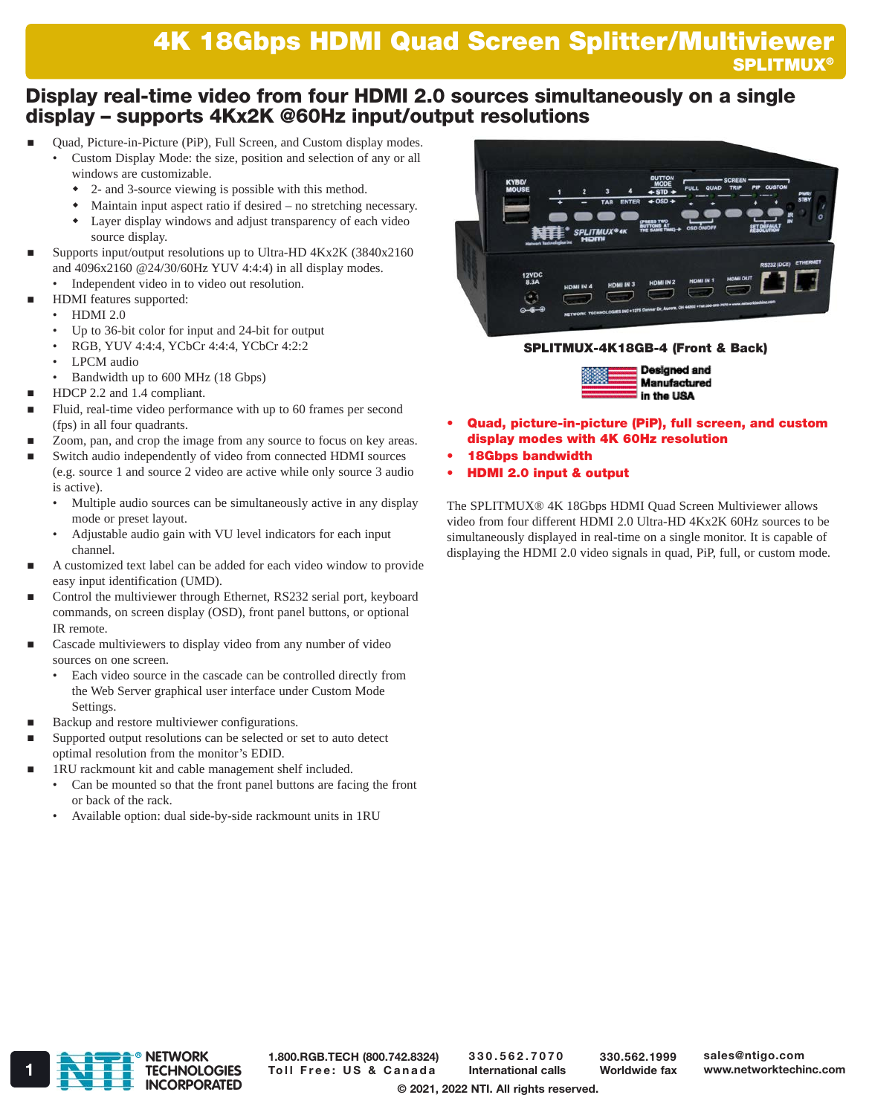# 4K 18Gbps HDMI Quad Screen Splitter/Multiviewer 4K 18Gbps HDMI Quad Screen Splitter/Multiviewer **SPLITMUX®**

# Display real-time video from four HDMI 2.0 sources simultaneously on a single display – supports 4Kx2K @60Hz input/output resolutions

- Quad, Picture-in-Picture (PiP), Full Screen, and Custom display modes.
	- Custom Display Mode: the size, position and selection of any or all windows are customizable.
		- 2- and 3-source viewing is possible with this method.
		- Maintain input aspect ratio if desired no stretching necessary. Layer display windows and adjust transparency of each video source display.
- Supports input/output resolutions up to Ultra-HD 4Kx2K (3840x2160 and 4096x2160 @24/30/60Hz YUV 4:4:4) in all display modes.
	- Independent video in to video out resolution.
	- HDMI features supported:
	- HDMI 2.0
	- Up to 36-bit color for input and 24-bit for output
	- RGB, YUV 4:4:4, YCbCr 4:4:4, YCbCr 4:2:2
	- LPCM audio
	- Bandwidth up to 600 MHz (18 Gbps)
- HDCP 2.2 and 1.4 compliant.
- Fluid, real-time video performance with up to 60 frames per second (fps) in all four quadrants.
- Zoom, pan, and crop the image from any source to focus on key areas.
- Switch audio independently of video from connected HDMI sources (e.g. source 1 and source 2 video are active while only source 3 audio is active).
	- Multiple audio sources can be simultaneously active in any display mode or preset layout.
	- Adjustable audio gain with VU level indicators for each input channel.
- A customized text label can be added for each video window to provide easy input identification (UMD).
- Control the multiviewer through Ethernet, RS232 serial port, keyboard commands, on screen display (OSD), front panel buttons, or optional IR remote.
- Cascade multiviewers to display video from any number of video sources on one screen.
	- Each video source in the cascade can be controlled directly from the Web Server graphical user interface under Custom Mode Settings.
- Backup and restore multiviewer configurations.
- Supported output resolutions can be selected or set to auto detect optimal resolution from the monitor's EDID.
- 1RU rackmount kit and cable management shelf included.
	- Can be mounted so that the front panel buttons are facing the front or back of the rack.
	- Available option: dual side-by-side rackmount units in 1RU



### SPLITMUX-4K18GB-4 (Front & Back)



- Quad, picture-in-picture (PiP), full screen, and custom display modes with 4K 60Hz resolution
- 18Gbps bandwidth
- HDMI 2.0 input & output

The SPLITMUX® 4K 18Gbps HDMI Quad Screen Multiviewer allows video from four different HDMI 2.0 Ultra-HD 4Kx2K 60Hz sources to be simultaneously displayed in real-time on a single monitor. It is capable of displaying the HDMI 2.0 video signals in quad, PiP, full, or custom mode.



1.800.RGB.TECH (800.742.8324)

330.562.7070 International calls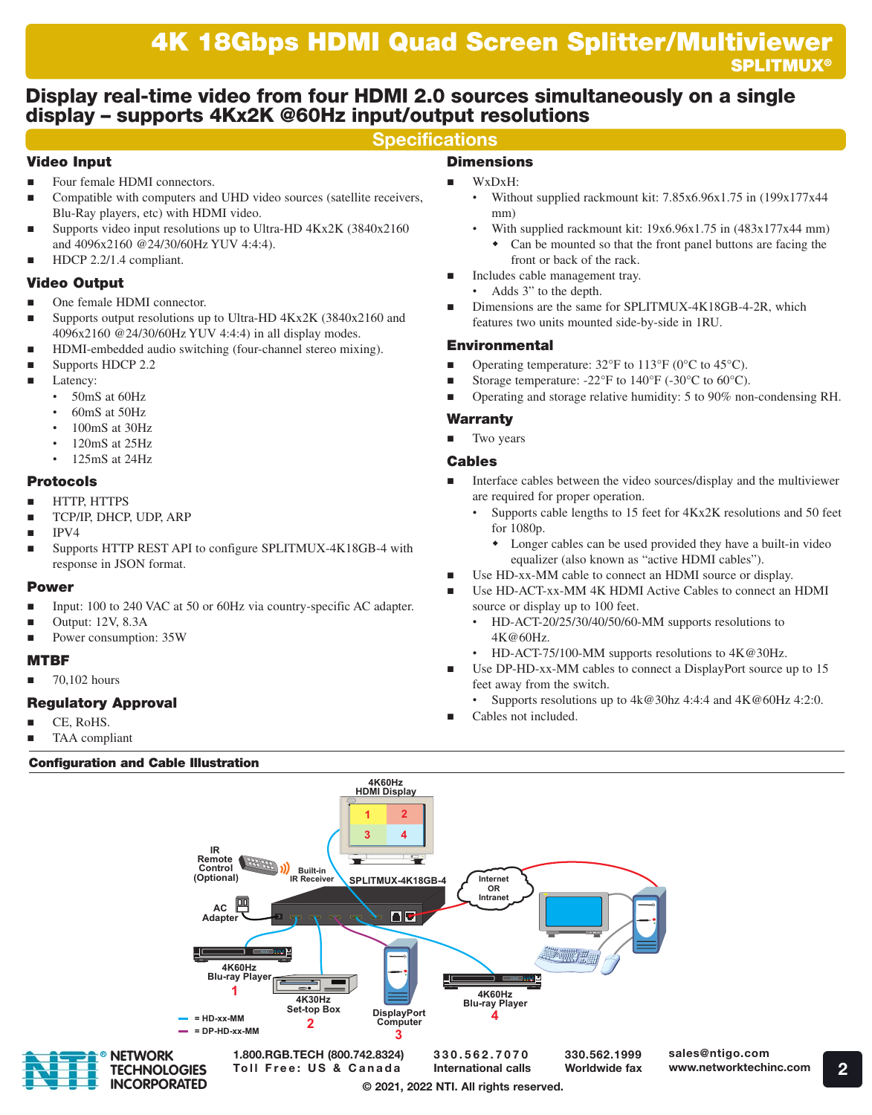## Display real-time video from four HDMI 2.0 sources simultaneously on a single display – supports 4Kx2K @60Hz input/output resolutions

## **Specifications**

## Video Input

- Four female HDMI connectors.
- Compatible with computers and UHD video sources (satellite receivers, Blu-Ray players, etc) with HDMI video.
- Supports video input resolutions up to Ultra-HD 4Kx2K (3840x2160 and 4096x2160 @24/30/60Hz YUV 4:4:4).
- HDCP 2.2/1.4 compliant.

## Video Output

- One female HDMI connector.
- Supports output resolutions up to Ultra-HD 4Kx2K (3840x2160 and 4096x2160 @24/30/60Hz YUV 4:4:4) in all display modes.
- HDMI-embedded audio switching (four-channel stereo mixing).
- Supports HDCP 2.2
- Latency:
	- 50mS at 60Hz
	- 60mS at 50Hz
	- 100mS at 30Hz
	- 120mS at 25Hz
	- 125mS at 24Hz

### Protocols

- HTTP, HTTPS
- TCP/IP, DHCP, UDP, ARP
- IPV4
- Supports HTTP REST API to configure SPLITMUX-4K18GB-4 with response in JSON format.

#### Power

- Input: 100 to 240 VAC at 50 or 60Hz via country-specific AC adapter.
- Output: 12V, 8.3A
- Power consumption: 35W

### MTBF

70,102 hours

## Regulatory Approval

R

- CE, RoHS.
- TAA compliant

### Configuration and Cable Illustration

## **Dimensions**

- WxDxH:
	- Without supplied rackmount kit: 7.85x6.96x1.75 in (199x177x44 mm)
		- With supplied rackmount kit: 19x6.96x1.75 in (483x177x44 mm) Can be mounted so that the front panel buttons are facing the
		- front or back of the rack.
- Includes cable management tray.
	- Adds 3" to the depth.
- Dimensions are the same for SPLITMUX-4K18GB-4-2R, which features two units mounted side-by-side in 1RU.

### Environmental

- Operating temperature: 32°F to 113°F (0°C to 45°C).
- Storage temperature: -22°F to 140°F (-30°C to 60°C).
- Operating and storage relative humidity: 5 to 90% non-condensing RH.

#### Warranty

Two years

#### Cables

- Interface cables between the video sources/display and the multiviewer are required for proper operation.
	- Supports cable lengths to 15 feet for 4Kx2K resolutions and 50 feet for 1080p.
		- Longer cables can be used provided they have a built-in video equalizer (also known as "active HDMI cables").
- Use HD-xx-MM cable to connect an HDMI source or display.
- Use HD-ACT-xx-MM 4K HDMI Active Cables to connect an HDMI source or display up to 100 feet.
	- HD-ACT-20/25/30/40/50/60-MM supports resolutions to 4K@60Hz.
	- HD-ACT-75/100-MM supports resolutions to 4K@30Hz.
- Use DP-HD-xx-MM cables to connect a DisplayPort source up to 15 feet away from the switch.
	- Supports resolutions up to  $4k@30hz 4:4:4$  and  $4K@60Hz 4:2:0$ .
- Cables not included.

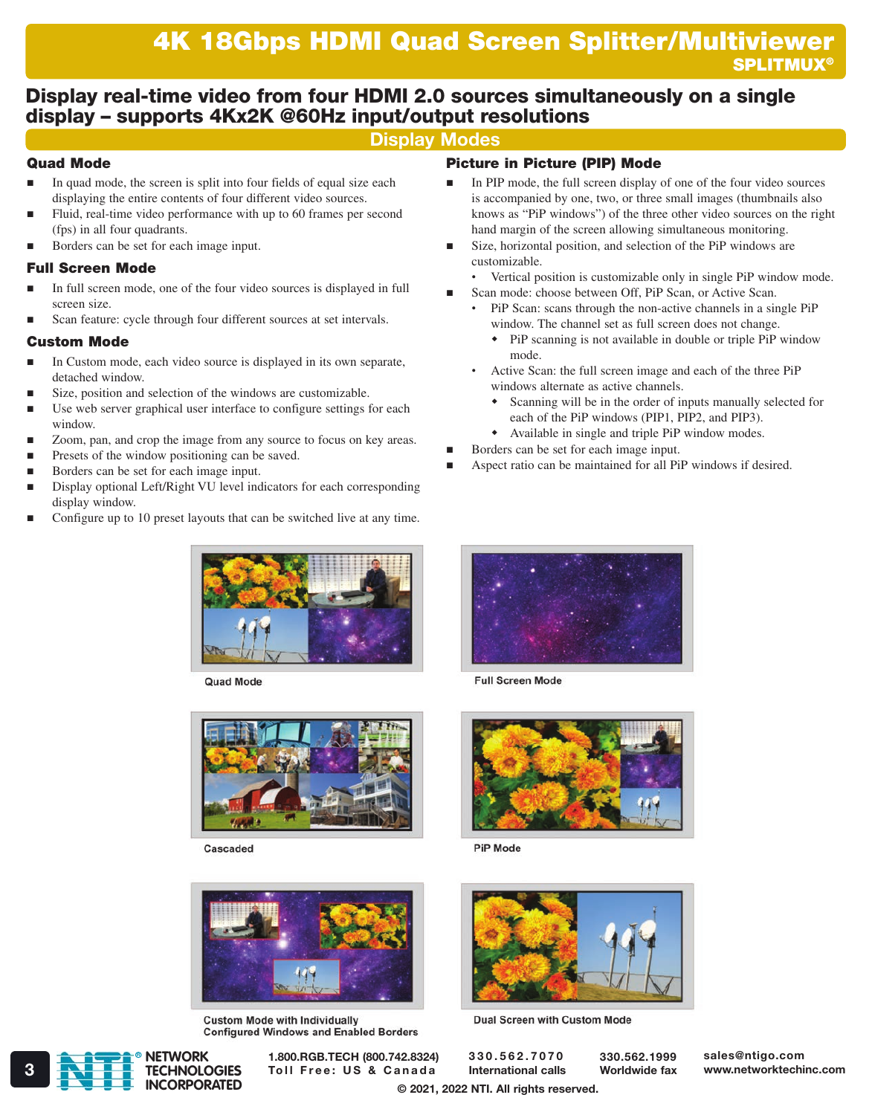## Display real-time video from four HDMI 2.0 sources simultaneously on a single display – supports 4Kx2K @60Hz input/output resolutions

## Display Modes

## Quad Mode

- $\blacksquare$  In quad mode, the screen is split into four fields of equal size each displaying the entire contents of four different video sources.
- Fluid, real-time video performance with up to 60 frames per second (fps) in all four quadrants.
- Borders can be set for each image input.

## Full Screen Mode

- In full screen mode, one of the four video sources is displayed in full screen size.
- Scan feature: cycle through four different sources at set intervals.

### Custom Mode

- In Custom mode, each video source is displayed in its own separate, detached window.
- Size, position and selection of the windows are customizable.
- Use web server graphical user interface to configure settings for each window.
- Zoom, pan, and crop the image from any source to focus on key areas.
- Presets of the window positioning can be saved.
- Borders can be set for each image input.
- Display optional Left/Right VU level indicators for each corresponding display window.
- Configure up to 10 preset layouts that can be switched live at any time.



**Quad Mode** 



Cascaded



**Custom Mode with Individually Configured Windows and Enabled Borders** 

# Picture in Picture (PIP) Mode

- In PIP mode, the full screen display of one of the four video sources is accompanied by one, two, or three small images (thumbnails also knows as "PiP windows") of the three other video sources on the right hand margin of the screen allowing simultaneous monitoring.
- Size, horizontal position, and selection of the PiP windows are customizable.
- Vertical position is customizable only in single PiP window mode.
- Scan mode: choose between Off, PiP Scan, or Active Scan.
	- PiP Scan: scans through the non-active channels in a single PiP window. The channel set as full screen does not change.
		- PiP scanning is not available in double or triple PiP window mode.
	- Active Scan: the full screen image and each of the three PiP windows alternate as active channels.
		- Scanning will be in the order of inputs manually selected for each of the PiP windows (PIP1, PIP2, and PIP3).
		- Available in single and triple PiP window modes.
- Borders can be set for each image input.
- Aspect ratio can be maintained for all PiP windows if desired.



**Full Screen Mode** 



**PiP Mode** 



**Dual Screen with Custom Mode** 

330.562.7070 International calls 330.562.1999 Worldwide fax sales@ntigo.com



1.800.RGB.TECH (800.742.8324)